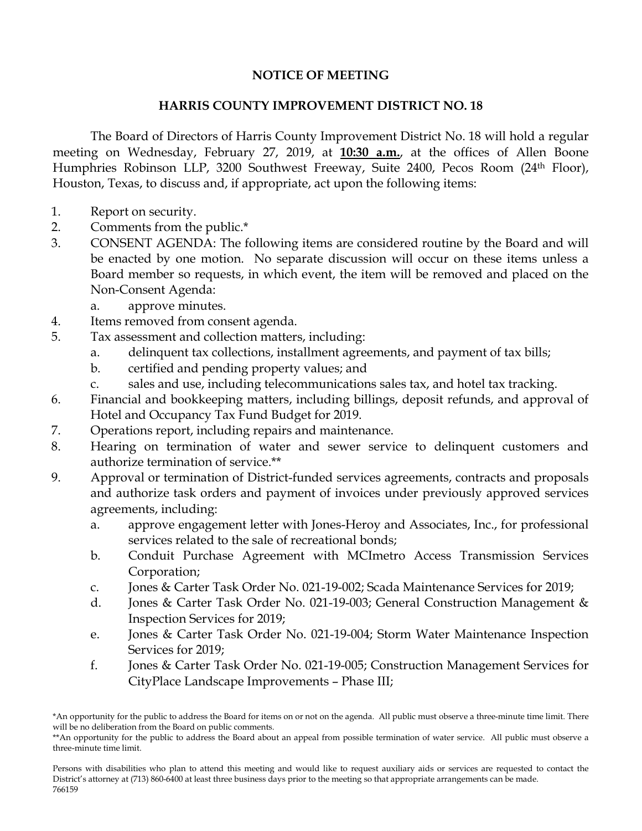## **NOTICE OF MEETING**

## **HARRIS COUNTY IMPROVEMENT DISTRICT NO. 18**

The Board of Directors of Harris County Improvement District No. 18 will hold a regular meeting on Wednesday, February 27, 2019, at **10:30 a.m.**, at the offices of Allen Boone Humphries Robinson LLP, 3200 Southwest Freeway, Suite 2400, Pecos Room (24th Floor), Houston, Texas, to discuss and, if appropriate, act upon the following items:

- 1. Report on security.
- 2. Comments from the public.\*
- 3. CONSENT AGENDA: The following items are considered routine by the Board and will be enacted by one motion. No separate discussion will occur on these items unless a Board member so requests, in which event, the item will be removed and placed on the Non-Consent Agenda:
	- a. approve minutes.
- 4. Items removed from consent agenda.
- 5. Tax assessment and collection matters, including:
	- a. delinquent tax collections, installment agreements, and payment of tax bills;
	- b. certified and pending property values; and
	- c. sales and use, including telecommunications sales tax, and hotel tax tracking.
- 6. Financial and bookkeeping matters, including billings, deposit refunds, and approval of Hotel and Occupancy Tax Fund Budget for 2019.
- 7. Operations report, including repairs and maintenance.
- 8. Hearing on termination of water and sewer service to delinquent customers and authorize termination of service.\*\*
- 9. Approval or termination of District-funded services agreements, contracts and proposals and authorize task orders and payment of invoices under previously approved services agreements, including:
	- a. approve engagement letter with Jones-Heroy and Associates, Inc., for professional services related to the sale of recreational bonds;
	- b. Conduit Purchase Agreement with MCImetro Access Transmission Services Corporation;
	- c. Jones & Carter Task Order No. 021-19-002; Scada Maintenance Services for 2019;
	- d. Jones & Carter Task Order No. 021-19-003; General Construction Management & Inspection Services for 2019;
	- e. Jones & Carter Task Order No. 021-19-004; Storm Water Maintenance Inspection Services for 2019;
	- f. Jones & Carter Task Order No. 021-19-005; Construction Management Services for CityPlace Landscape Improvements – Phase III;

<sup>\*</sup>An opportunity for the public to address the Board for items on or not on the agenda. All public must observe a three-minute time limit. There will be no deliberation from the Board on public comments.

<sup>\*\*</sup>An opportunity for the public to address the Board about an appeal from possible termination of water service. All public must observe a three-minute time limit.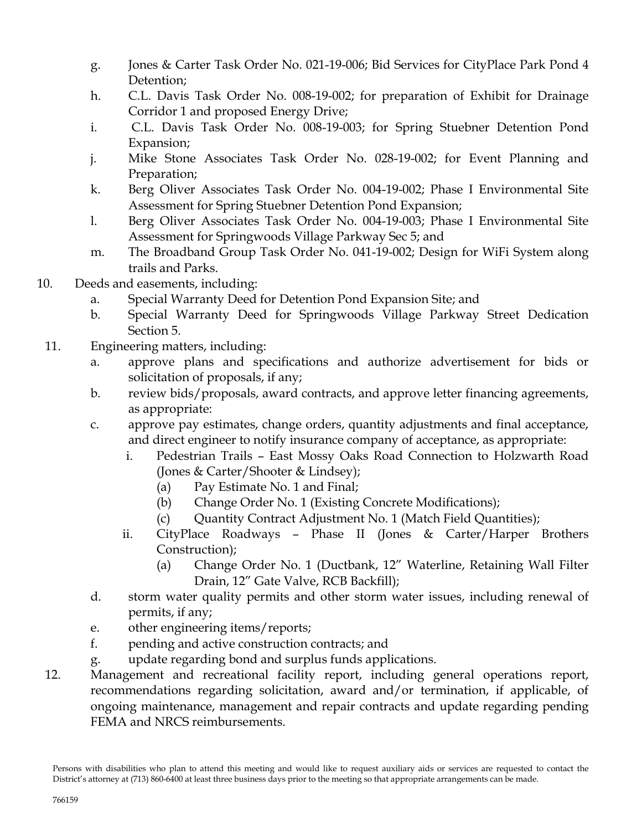- g. Jones & Carter Task Order No. 021-19-006; Bid Services for CityPlace Park Pond 4 Detention;
- h. C.L. Davis Task Order No. 008-19-002; for preparation of Exhibit for Drainage Corridor 1 and proposed Energy Drive;
- i. C.L. Davis Task Order No. 008-19-003; for Spring Stuebner Detention Pond Expansion;
- j. Mike Stone Associates Task Order No. 028-19-002; for Event Planning and Preparation;
- k. Berg Oliver Associates Task Order No. 004-19-002; Phase I Environmental Site Assessment for Spring Stuebner Detention Pond Expansion;
- l. Berg Oliver Associates Task Order No. 004-19-003; Phase I Environmental Site Assessment for Springwoods Village Parkway Sec 5; and
- m. The Broadband Group Task Order No. 041-19-002; Design for WiFi System along trails and Parks.
- 10. Deeds and easements, including:
	- a. Special Warranty Deed for Detention Pond Expansion Site; and
	- b. Special Warranty Deed for Springwoods Village Parkway Street Dedication Section 5.
- 11. Engineering matters, including:
	- a. approve plans and specifications and authorize advertisement for bids or solicitation of proposals, if any;
	- b. review bids/proposals, award contracts, and approve letter financing agreements, as appropriate:
	- c. approve pay estimates, change orders, quantity adjustments and final acceptance, and direct engineer to notify insurance company of acceptance, as appropriate:
		- i. Pedestrian Trails East Mossy Oaks Road Connection to Holzwarth Road (Jones & Carter/Shooter & Lindsey);
			- (a) Pay Estimate No. 1 and Final;
			- (b) Change Order No. 1 (Existing Concrete Modifications);
			- (c) Quantity Contract Adjustment No. 1 (Match Field Quantities);
		- ii. CityPlace Roadways Phase II (Jones & Carter/Harper Brothers Construction);
			- (a) Change Order No. 1 (Ductbank, 12" Waterline, Retaining Wall Filter Drain, 12" Gate Valve, RCB Backfill);
	- d. storm water quality permits and other storm water issues, including renewal of permits, if any;
	- e. other engineering items/reports;
	- f. pending and active construction contracts; and
	- g. update regarding bond and surplus funds applications.
- 12. Management and recreational facility report, including general operations report, recommendations regarding solicitation, award and/or termination, if applicable, of ongoing maintenance, management and repair contracts and update regarding pending FEMA and NRCS reimbursements.